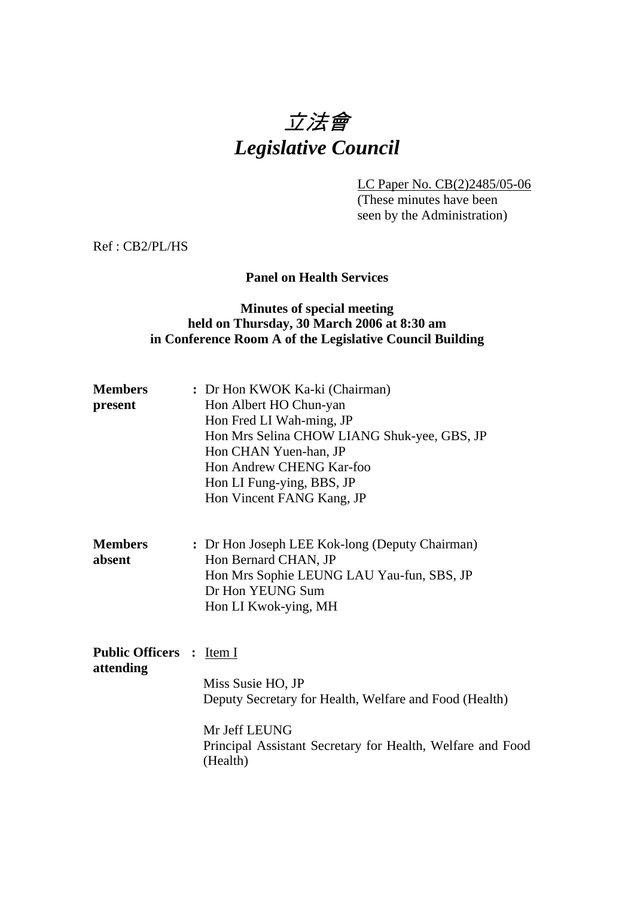# 立法會 *Legislative Council*

LC Paper No. CB(2)2485/05-06

 (These minutes have been seen by the Administration)

Ref : CB2/PL/HS

## **Panel on Health Services**

### **Minutes of special meeting held on Thursday, 30 March 2006 at 8:30 am in Conference Room A of the Legislative Council Building**

| <b>Members</b> | : Dr Hon KWOK Ka-ki (Chairman)              |
|----------------|---------------------------------------------|
| present        | Hon Albert HO Chun-yan                      |
|                | Hon Fred LI Wah-ming, JP                    |
|                | Hon Mrs Selina CHOW LIANG Shuk-yee, GBS, JP |
|                | Hon CHAN Yuen-han, JP                       |
|                | Hon Andrew CHENG Kar-foo                    |
|                | Hon LI Fung-ying, BBS, JP                   |
|                | Hon Vincent FANG Kang, JP                   |
|                |                                             |

| <b>Members</b> | : Dr Hon Joseph LEE Kok-long (Deputy Chairman) |
|----------------|------------------------------------------------|
| absent         | Hon Bernard CHAN, JP                           |
|                | Hon Mrs Sophie LEUNG LAU Yau-fun, SBS, JP      |
|                | Dr Hon YEUNG Sum                               |
|                | Hon LI Kwok-ying, MH                           |

| <b>Public Officers :</b> Item I<br>attending |                                                                                         |
|----------------------------------------------|-----------------------------------------------------------------------------------------|
|                                              | Miss Susie HO, JP                                                                       |
|                                              | Deputy Secretary for Health, Welfare and Food (Health)                                  |
|                                              | Mr Jeff LEUNG<br>Principal Assistant Secretary for Health, Welfare and Food<br>(Health) |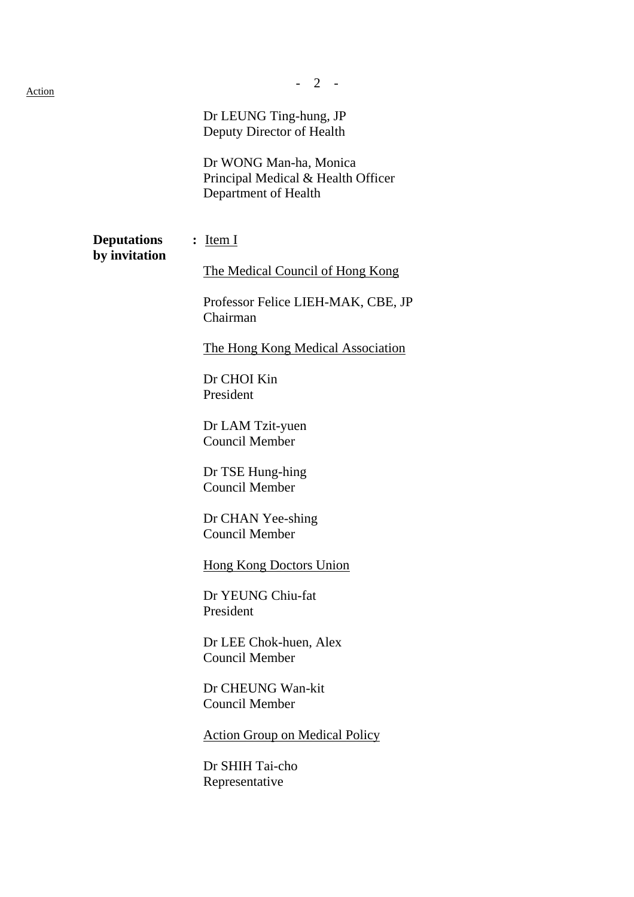|                                     | Dr LEUNG Ting-hung, JP<br>Deputy Director of Health<br>Dr WONG Man-ha, Monica<br>Principal Medical & Health Officer<br>Department of Health                                                                                                                                                                                                                                                                                                                                                                                                    |
|-------------------------------------|------------------------------------------------------------------------------------------------------------------------------------------------------------------------------------------------------------------------------------------------------------------------------------------------------------------------------------------------------------------------------------------------------------------------------------------------------------------------------------------------------------------------------------------------|
| <b>Deputations</b><br>by invitation | $:$ Item I<br>The Medical Council of Hong Kong<br>Professor Felice LIEH-MAK, CBE, JP<br>Chairman<br>The Hong Kong Medical Association<br>Dr CHOI Kin<br>President<br>Dr LAM Tzit-yuen<br><b>Council Member</b><br>Dr TSE Hung-hing<br><b>Council Member</b><br>Dr CHAN Yee-shing<br><b>Council Member</b><br><b>Hong Kong Doctors Union</b><br>Dr YEUNG Chiu-fat<br>President<br>Dr LEE Chok-huen, Alex<br>Council Member<br>Dr CHEUNG Wan-kit<br>Council Member<br><b>Action Group on Medical Policy</b><br>Dr SHIH Tai-cho<br>Representative |
|                                     |                                                                                                                                                                                                                                                                                                                                                                                                                                                                                                                                                |

- 2 -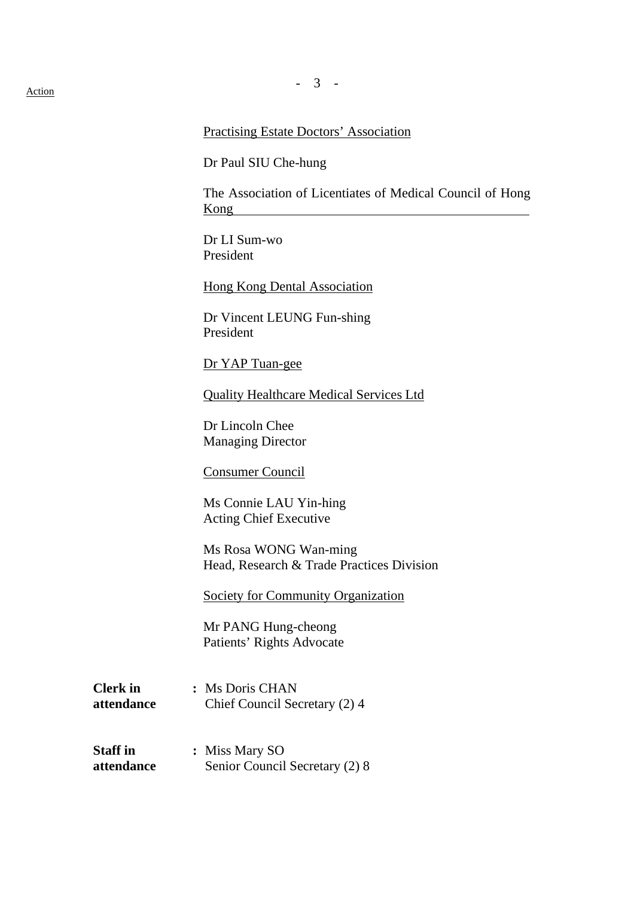# Practising Estate Doctors' Association

Dr Paul SIU Che-hung

The Association of Licentiates of Medical Council of Hong Kong

Dr LI Sum-wo President

Hong Kong Dental Association

Dr Vincent LEUNG Fun-shing President

Dr YAP Tuan-gee

Quality Healthcare Medical Services Ltd

Dr Lincoln Chee Managing Director

Consumer Council

Ms Connie LAU Yin-hing Acting Chief Executive

Ms Rosa WONG Wan-ming Head, Research & Trade Practices Division

Society for Community Organization

Mr PANG Hung-cheong Patients' Rights Advocate

- **Clerk in :** Ms Doris CHAN **attendance** Chief Council Secretary (2) 4
- **Staff in : Miss Mary SO attendance** Senior Council Secretary (2) 8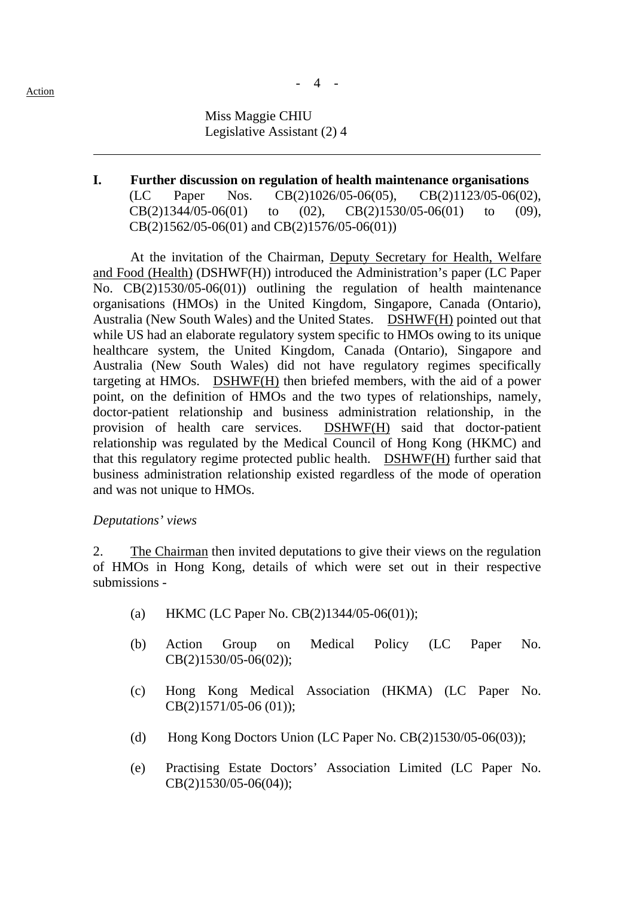## - 4 -

**I. Further discussion on regulation of health maintenance organisations**  (LC Paper Nos. CB(2)1026/05-06(05), CB(2)1123/05-06(02),  $CB(2)1344/05-06(01)$  to  $(02)$ ,  $CB(2)1530/05-06(01)$  to  $(09)$ , CB(2)1562/05-06(01) and CB(2)1576/05-06(01))

At the invitation of the Chairman, Deputy Secretary for Health, Welfare and Food (Health) (DSHWF(H)) introduced the Administration's paper (LC Paper No. CB(2)1530/05-06(01)) outlining the regulation of health maintenance organisations (HMOs) in the United Kingdom, Singapore, Canada (Ontario), Australia (New South Wales) and the United States. DSHWF(H) pointed out that while US had an elaborate regulatory system specific to HMOs owing to its unique healthcare system, the United Kingdom, Canada (Ontario), Singapore and Australia (New South Wales) did not have regulatory regimes specifically targeting at HMOs. DSHWF(H) then briefed members, with the aid of a power point, on the definition of HMOs and the two types of relationships, namely, doctor-patient relationship and business administration relationship, in the provision of health care services. DSHWF(H) said that doctor-patient relationship was regulated by the Medical Council of Hong Kong (HKMC) and that this regulatory regime protected public health. DSHWF(H) further said that business administration relationship existed regardless of the mode of operation and was not unique to HMOs.

### *Deputations' views*

2. The Chairman then invited deputations to give their views on the regulation of HMOs in Hong Kong, details of which were set out in their respective submissions -

- (a) HKMC (LC Paper No.  $CB(2)1344/05-06(01)$ );
- (b) Action Group on Medical Policy (LC Paper No. CB(2)1530/05-06(02));
- (c) Hong Kong Medical Association (HKMA) (LC Paper No. CB(2)1571/05-06 (01));
- (d) Hong Kong Doctors Union (LC Paper No. CB(2)1530/05-06(03));
- (e) Practising Estate Doctors' Association Limited (LC Paper No. CB(2)1530/05-06(04));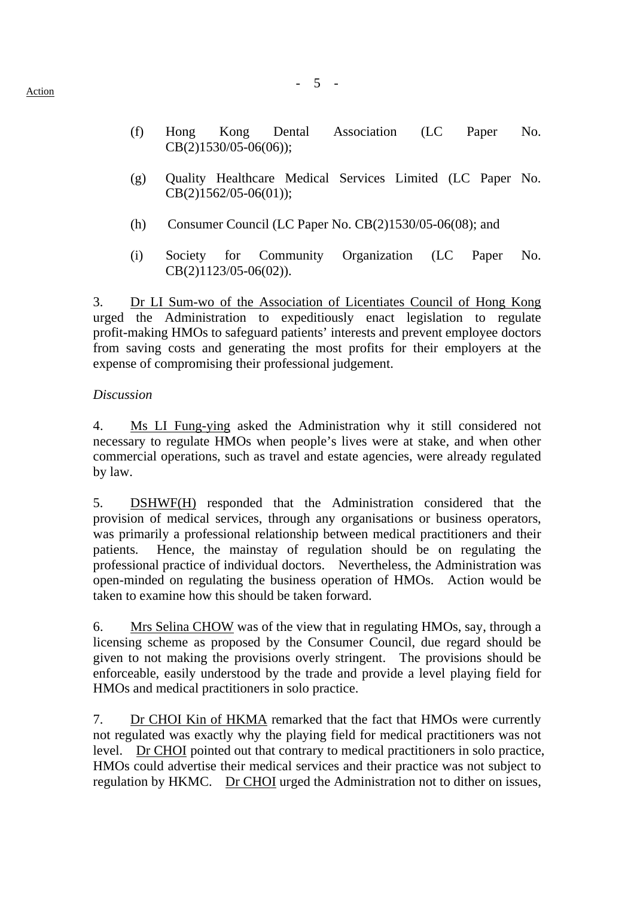- (f) Hong Kong Dental Association (LC Paper No. CB(2)1530/05-06(06));
- (g) Quality Healthcare Medical Services Limited (LC Paper No. CB(2)1562/05-06(01));
- (h) Consumer Council (LC Paper No. CB(2)1530/05-06(08); and
- (i) Society for Community Organization (LC Paper No. CB(2)1123/05-06(02)).

3. Dr LI Sum-wo of the Association of Licentiates Council of Hong Kong urged the Administration to expeditiously enact legislation to regulate profit-making HMOs to safeguard patients' interests and prevent employee doctors from saving costs and generating the most profits for their employers at the expense of compromising their professional judgement.

## *Discussion*

4. Ms LI Fung-ying asked the Administration why it still considered not necessary to regulate HMOs when people's lives were at stake, and when other commercial operations, such as travel and estate agencies, were already regulated by law.

5. DSHWF(H) responded that the Administration considered that the provision of medical services, through any organisations or business operators, was primarily a professional relationship between medical practitioners and their patients. Hence, the mainstay of regulation should be on regulating the professional practice of individual doctors. Nevertheless, the Administration was open-minded on regulating the business operation of HMOs. Action would be taken to examine how this should be taken forward.

6. Mrs Selina CHOW was of the view that in regulating HMOs, say, through a licensing scheme as proposed by the Consumer Council, due regard should be given to not making the provisions overly stringent. The provisions should be enforceable, easily understood by the trade and provide a level playing field for HMOs and medical practitioners in solo practice.

7. Dr CHOI Kin of HKMA remarked that the fact that HMOs were currently not regulated was exactly why the playing field for medical practitioners was not level. Dr CHOI pointed out that contrary to medical practitioners in solo practice, HMOs could advertise their medical services and their practice was not subject to regulation by HKMC. Dr CHOI urged the Administration not to dither on issues,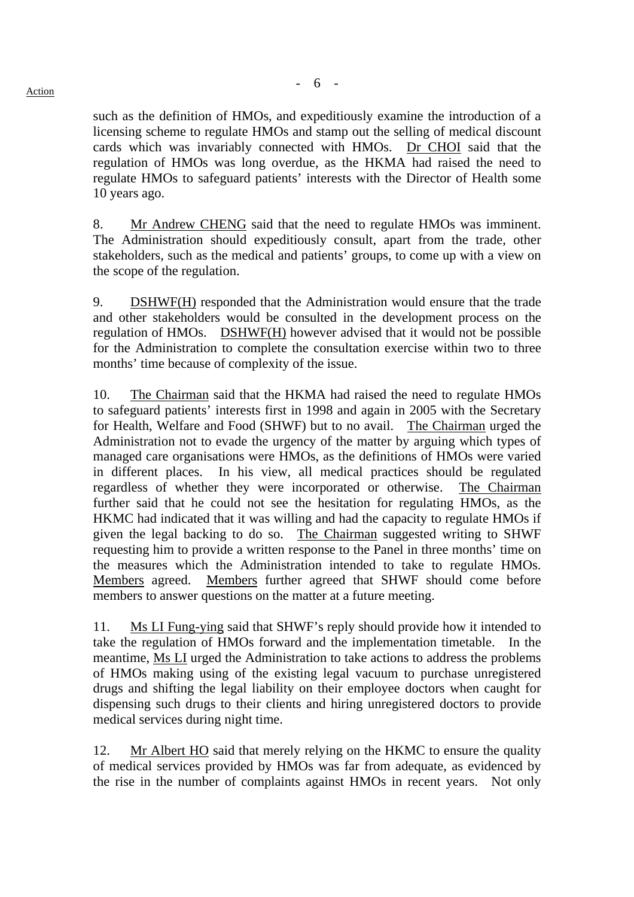such as the definition of HMOs, and expeditiously examine the introduction of a licensing scheme to regulate HMOs and stamp out the selling of medical discount cards which was invariably connected with HMOs. Dr CHOI said that the regulation of HMOs was long overdue, as the HKMA had raised the need to regulate HMOs to safeguard patients' interests with the Director of Health some 10 years ago.

8. Mr Andrew CHENG said that the need to regulate HMOs was imminent. The Administration should expeditiously consult, apart from the trade, other stakeholders, such as the medical and patients' groups, to come up with a view on the scope of the regulation.

9. DSHWF(H) responded that the Administration would ensure that the trade and other stakeholders would be consulted in the development process on the regulation of HMOs. DSHWF(H) however advised that it would not be possible for the Administration to complete the consultation exercise within two to three months' time because of complexity of the issue.

10. The Chairman said that the HKMA had raised the need to regulate HMOs to safeguard patients' interests first in 1998 and again in 2005 with the Secretary for Health, Welfare and Food (SHWF) but to no avail. The Chairman urged the Administration not to evade the urgency of the matter by arguing which types of managed care organisations were HMOs, as the definitions of HMOs were varied in different places. In his view, all medical practices should be regulated regardless of whether they were incorporated or otherwise. The Chairman further said that he could not see the hesitation for regulating HMOs, as the HKMC had indicated that it was willing and had the capacity to regulate HMOs if given the legal backing to do so. The Chairman suggested writing to SHWF requesting him to provide a written response to the Panel in three months' time on the measures which the Administration intended to take to regulate HMOs. Members agreed. Members further agreed that SHWF should come before members to answer questions on the matter at a future meeting.

11. Ms LI Fung-ying said that SHWF's reply should provide how it intended to take the regulation of HMOs forward and the implementation timetable. In the meantime, Ms LI urged the Administration to take actions to address the problems of HMOs making using of the existing legal vacuum to purchase unregistered drugs and shifting the legal liability on their employee doctors when caught for dispensing such drugs to their clients and hiring unregistered doctors to provide medical services during night time.

12. Mr Albert HO said that merely relying on the HKMC to ensure the quality of medical services provided by HMOs was far from adequate, as evidenced by the rise in the number of complaints against HMOs in recent years. Not only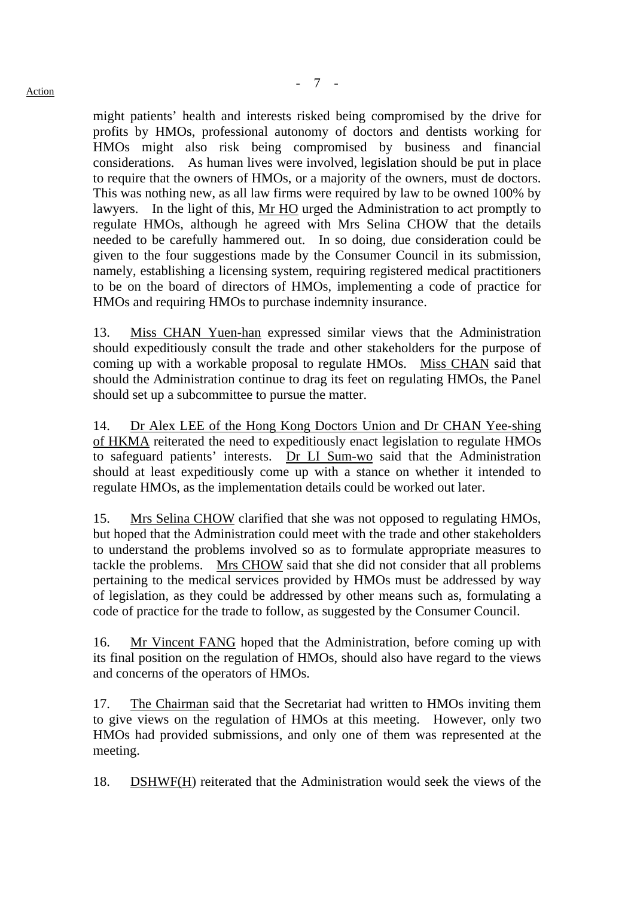might patients' health and interests risked being compromised by the drive for profits by HMOs, professional autonomy of doctors and dentists working for HMOs might also risk being compromised by business and financial considerations. As human lives were involved, legislation should be put in place to require that the owners of HMOs, or a majority of the owners, must de doctors. This was nothing new, as all law firms were required by law to be owned 100% by lawyers. In the light of this, Mr HO urged the Administration to act promptly to regulate HMOs, although he agreed with Mrs Selina CHOW that the details needed to be carefully hammered out. In so doing, due consideration could be given to the four suggestions made by the Consumer Council in its submission, namely, establishing a licensing system, requiring registered medical practitioners to be on the board of directors of HMOs, implementing a code of practice for HMOs and requiring HMOs to purchase indemnity insurance.

13. Miss CHAN Yuen-han expressed similar views that the Administration should expeditiously consult the trade and other stakeholders for the purpose of coming up with a workable proposal to regulate HMOs. Miss CHAN said that should the Administration continue to drag its feet on regulating HMOs, the Panel should set up a subcommittee to pursue the matter.

14. Dr Alex LEE of the Hong Kong Doctors Union and Dr CHAN Yee-shing of HKMA reiterated the need to expeditiously enact legislation to regulate HMOs to safeguard patients' interests. Dr LI Sum-wo said that the Administration should at least expeditiously come up with a stance on whether it intended to regulate HMOs, as the implementation details could be worked out later.

15. Mrs Selina CHOW clarified that she was not opposed to regulating HMOs, but hoped that the Administration could meet with the trade and other stakeholders to understand the problems involved so as to formulate appropriate measures to tackle the problems. Mrs CHOW said that she did not consider that all problems pertaining to the medical services provided by HMOs must be addressed by way of legislation, as they could be addressed by other means such as, formulating a code of practice for the trade to follow, as suggested by the Consumer Council.

16. Mr Vincent FANG hoped that the Administration, before coming up with its final position on the regulation of HMOs, should also have regard to the views and concerns of the operators of HMOs.

17. The Chairman said that the Secretariat had written to HMOs inviting them to give views on the regulation of HMOs at this meeting. However, only two HMOs had provided submissions, and only one of them was represented at the meeting.

18. DSHWF(H) reiterated that the Administration would seek the views of the